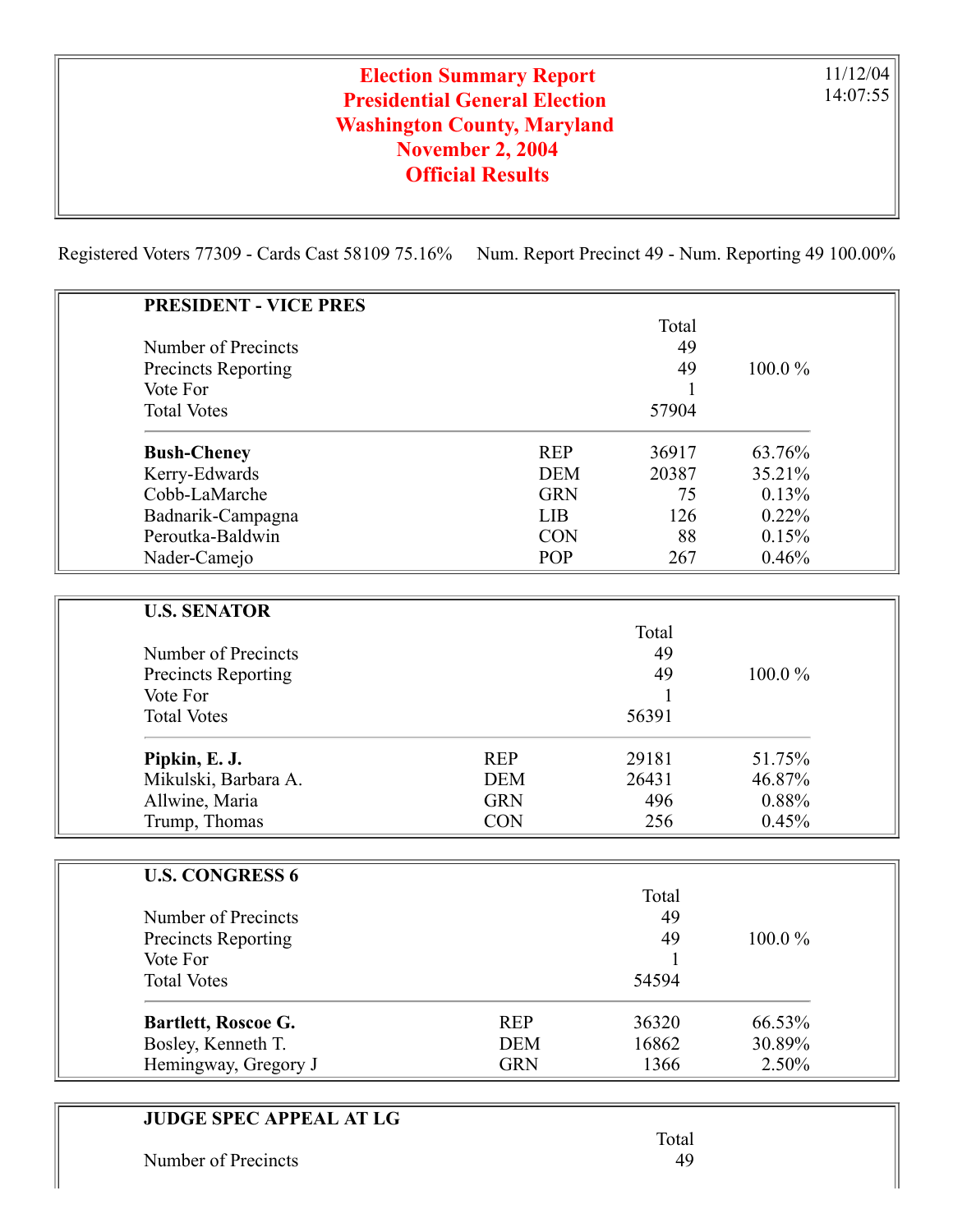## Election Summary Report Presidential General Election Washington County, Maryland November 2, 2004 Official Results

11/12/04 14:07:55

Registered Voters 77309 - Cards Cast 58109 75.16% Num. Report Precinct 49 - Num. Reporting 49 100.00%

| <b>PRESIDENT - VICE PRES</b> |                     |        |  |
|------------------------------|---------------------|--------|--|
|                              | Total               |        |  |
| Number of Precincts          | 49                  |        |  |
| Precincts Reporting          | 49                  | 100.0% |  |
| Vote For                     | 1                   |        |  |
| <b>Total Votes</b>           | 57904               |        |  |
| <b>Bush-Cheney</b>           | <b>REP</b><br>36917 | 63.76% |  |
| Kerry-Edwards                | <b>DEM</b><br>20387 | 35.21% |  |
| Cobb-LaMarche                | <b>GRN</b><br>75    | 0.13%  |  |
| Badnarik-Campagna            | <b>LIB</b><br>126   | 0.22%  |  |
| Peroutka-Baldwin             | <b>CON</b><br>88    | 0.15%  |  |
| Nader-Camejo                 | POP<br>267          | 0.46%  |  |
|                              |                     |        |  |
| <b>U.S. SENATOR</b>          |                     |        |  |
|                              | Total               |        |  |
| Number of Precincts          | 49                  |        |  |
| <b>Precincts Reporting</b>   | 49                  | 100.0% |  |
| Vote For                     | 1                   |        |  |
| <b>Total Votes</b>           | 56391               |        |  |
| Pipkin, E. J.                | <b>REP</b><br>29181 | 51.75% |  |
| Mikulski, Barbara A.         | 26431<br><b>DEM</b> | 46.87% |  |
| Allwine, Maria               | <b>GRN</b><br>496   | 0.88%  |  |
| Trump, Thomas                | <b>CON</b><br>256   | 0.45%  |  |
|                              |                     |        |  |
| <b>U.S. CONGRESS 6</b>       |                     |        |  |
|                              | Total               |        |  |
| Number of Precincts          | 49                  |        |  |
| Precincts Reporting          | 49                  | 100.0% |  |
| Vote For                     | 1                   |        |  |
| <b>Total Votes</b>           | 54594               |        |  |
| Bartlett, Roscoe G.          | <b>REP</b><br>36320 | 66.53% |  |
| Bosley, Kenneth T.           | <b>DEM</b><br>16862 | 30.89% |  |
| Hemingway, Gregory J         | <b>GRN</b><br>1366  | 2.50%  |  |
|                              |                     |        |  |

## JUDGE SPEC APPEAL AT LG

Number of Precincts 49